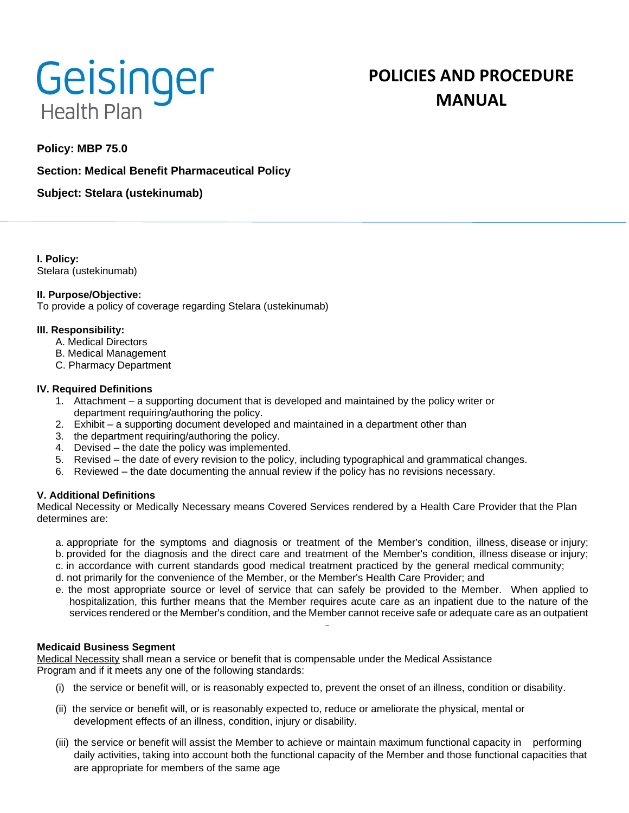

# **POLICIES AND PROCEDURE MANUAL**

# **Policy: MBP 75.0**

# **Section: Medical Benefit Pharmaceutical Policy**

**Subject: Stelara (ustekinumab)**

**I. Policy:** Stelara (ustekinumab)

#### **II. Purpose/Objective:**

To provide a policy of coverage regarding Stelara (ustekinumab)

#### **III. Responsibility:**

- A. Medical Directors
- B. Medical Management
- C. Pharmacy Department

#### **IV. Required Definitions**

- 1. Attachment a supporting document that is developed and maintained by the policy writer or department requiring/authoring the policy.
- 2. Exhibit a supporting document developed and maintained in a department other than
- 3. the department requiring/authoring the policy.
- 4. Devised the date the policy was implemented.
- 5. Revised the date of every revision to the policy, including typographical and grammatical changes.
- 6. Reviewed the date documenting the annual review if the policy has no revisions necessary.

## **V. Additional Definitions**

Medical Necessity or Medically Necessary means Covered Services rendered by a Health Care Provider that the Plan determines are:

- a. appropriate for the symptoms and diagnosis or treatment of the Member's condition, illness, disease or injury;
- b. provided for the diagnosis and the direct care and treatment of the Member's condition, illness disease or injury;
- c. in accordance with current standards good medical treatment practiced by the general medical community;
- d. not primarily for the convenience of the Member, or the Member's Health Care Provider; and
- e. the most appropriate source or level of service that can safely be provided to the Member. When applied to hospitalization, this further means that the Member requires acute care as an inpatient due to the nature of the services rendered or the Member's condition, and the Member cannot receive safe or adequate care as an outpatient

## **Medicaid Business Segment**

Medical Necessity shall mean a service or benefit that is compensable under the Medical Assistance Program and if it meets any one of the following standards:

- (i) the service or benefit will, or is reasonably expected to, prevent the onset of an illness, condition or disability.
- (ii) the service or benefit will, or is reasonably expected to, reduce or ameliorate the physical, mental or development effects of an illness, condition, injury or disability.
- (iii) the service or benefit will assist the Member to achieve or maintain maximum functional capacity in performing daily activities, taking into account both the functional capacity of the Member and those functional capacities that are appropriate for members of the same age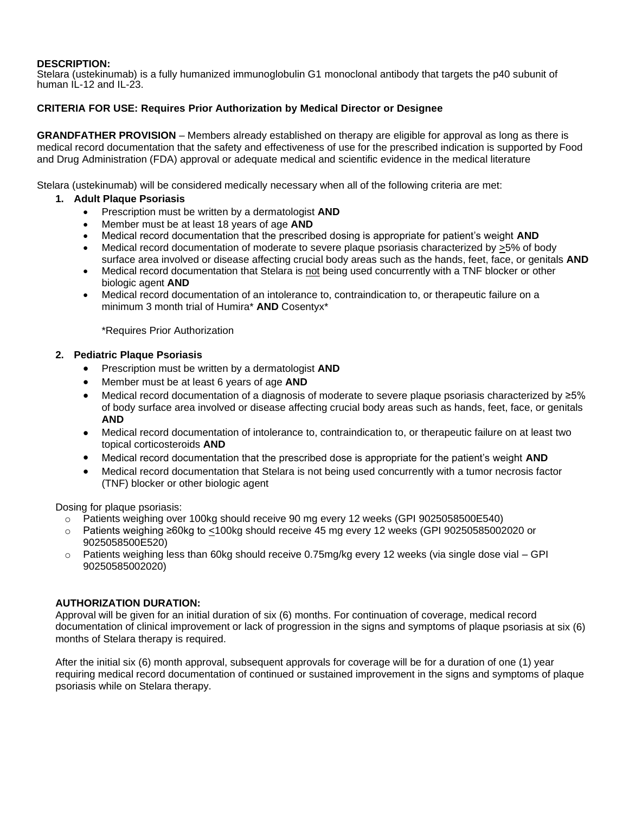#### **DESCRIPTION:**

Stelara (ustekinumab) is a fully humanized immunoglobulin G1 monoclonal antibody that targets the p40 subunit of human IL-12 and IL-23.

#### **CRITERIA FOR USE: Requires Prior Authorization by Medical Director or Designee**

**GRANDFATHER PROVISION** – Members already established on therapy are eligible for approval as long as there is medical record documentation that the safety and effectiveness of use for the prescribed indication is supported by Food and Drug Administration (FDA) approval or adequate medical and scientific evidence in the medical literature

Stelara (ustekinumab) will be considered medically necessary when all of the following criteria are met:

#### **1. Adult Plaque Psoriasis**

- Prescription must be written by a dermatologist **AND**
- Member must be at least 18 years of age **AND**
- Medical record documentation that the prescribed dosing is appropriate for patient's weight **AND**
- Medical record documentation of moderate to severe plaque psoriasis characterized by >5% of body surface area involved or disease affecting crucial body areas such as the hands, feet, face, or genitals **AND**
- Medical record documentation that Stelara is not being used concurrently with a TNF blocker or other biologic agent **AND**
- Medical record documentation of an intolerance to, contraindication to, or therapeutic failure on a minimum 3 month trial of Humira\* **AND** Cosentyx\*

\*Requires Prior Authorization

#### **2. Pediatric Plaque Psoriasis**

- Prescription must be written by a dermatologist **AND**
- Member must be at least 6 years of age **AND**
- Medical record documentation of a diagnosis of moderate to severe plaque psoriasis characterized by ≥5% of body surface area involved or disease affecting crucial body areas such as hands, feet, face, or genitals **AND**
- Medical record documentation of intolerance to, contraindication to, or therapeutic failure on at least two topical corticosteroids **AND**
- Medical record documentation that the prescribed dose is appropriate for the patient's weight **AND**
- Medical record documentation that Stelara is not being used concurrently with a tumor necrosis factor (TNF) blocker or other biologic agent

Dosing for plaque psoriasis:

- o Patients weighing over 100kg should receive 90 mg every 12 weeks (GPI 9025058500E540)
- o Patients weighing ≥60kg to <100kg should receive 45 mg every 12 weeks (GPI 90250585002020 or 9025058500E520)
- $\circ$  Patients weighing less than 60kg should receive 0.75mg/kg every 12 weeks (via single dose vial GPI 90250585002020)

#### **AUTHORIZATION DURATION:**

Approval will be given for an initial duration of six (6) months. For continuation of coverage, medical record documentation of clinical improvement or lack of progression in the signs and symptoms of plaque psoriasis at six (6) months of Stelara therapy is required.

After the initial six (6) month approval, subsequent approvals for coverage will be for a duration of one (1) year requiring medical record documentation of continued or sustained improvement in the signs and symptoms of plaque psoriasis while on Stelara therapy.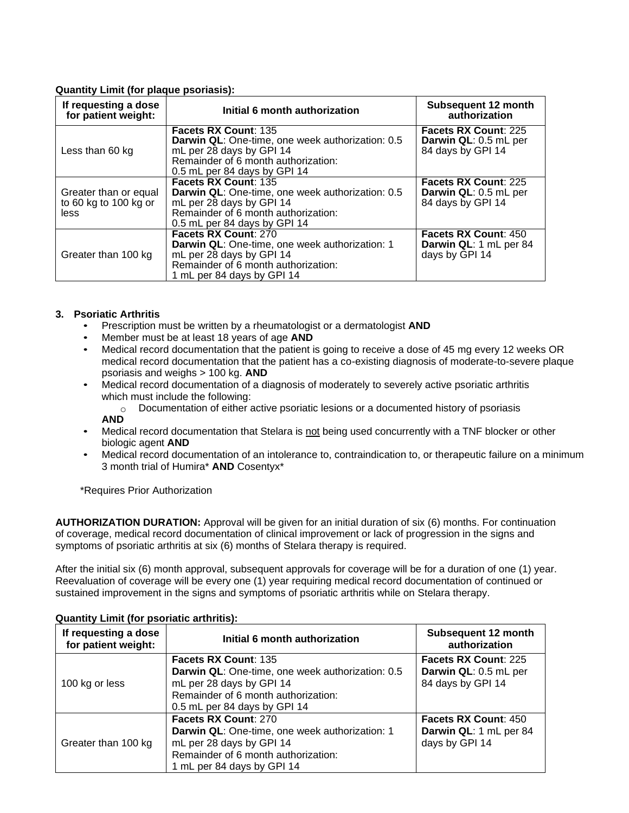## **Quantity Limit (for plaque psoriasis):**

| If requesting a dose<br>for patient weight:            | Initial 6 month authorization                                                                                                                                                             | Subsequent 12 month<br>authorization                                      |
|--------------------------------------------------------|-------------------------------------------------------------------------------------------------------------------------------------------------------------------------------------------|---------------------------------------------------------------------------|
| Less than 60 kg                                        | <b>Facets RX Count: 135</b><br><b>Darwin QL:</b> One-time, one week authorization: 0.5<br>mL per 28 days by GPI 14<br>Remainder of 6 month authorization:<br>0.5 mL per 84 days by GPI 14 | <b>Facets RX Count: 225</b><br>Darwin QL: 0.5 mL per<br>84 days by GPI 14 |
| Greater than or equal<br>to 60 kg to 100 kg or<br>less | Facets RX Count: 135<br>Darwin QL: One-time, one week authorization: 0.5<br>mL per 28 days by GPI 14<br>Remainder of 6 month authorization:<br>0.5 mL per 84 days by GPI 14               | Facets RX Count: 225<br>Darwin QL: 0.5 mL per<br>84 days by GPI 14        |
| Greater than 100 kg                                    | Facets RX Count: 270<br>Darwin QL: One-time, one week authorization: 1<br>mL per 28 days by GPI 14<br>Remainder of 6 month authorization:<br>1 mL per 84 days by GPI 14                   | <b>Facets RX Count: 450</b><br>Darwin QL: 1 mL per 84<br>days by GPI 14   |

#### **3. Psoriatic Arthritis**

- Prescription must be written by a rheumatologist or a dermatologist **AND**<br>• Member must be at least 18 years of age **AND**
- Member must be at least 18 years of age **AND**
- Medical record documentation that the patient is going to receive a dose of 45 mg every 12 weeks OR medical record documentation that the patient has a co-existing diagnosis of moderate-to-severe plaque psoriasis and weighs > 100 kg. **AND**
- Medical record documentation of a diagnosis of moderately to severely active psoriatic arthritis which must include the following:
	- $\circ$  Documentation of either active psoriatic lesions or a documented history of psoriasis **AND**
- Medical record documentation that Stelara is not being used concurrently with a TNF blocker or other biologic agent **AND**
- Medical record documentation of an intolerance to, contraindication to, or therapeutic failure on a minimum 3 month trial of Humira\* **AND** Cosentyx\*

\*Requires Prior Authorization

**AUTHORIZATION DURATION:** Approval will be given for an initial duration of six (6) months. For continuation of coverage, medical record documentation of clinical improvement or lack of progression in the signs and symptoms of psoriatic arthritis at six (6) months of Stelara therapy is required.

After the initial six (6) month approval, subsequent approvals for coverage will be for a duration of one (1) year. Reevaluation of coverage will be every one (1) year requiring medical record documentation of continued or sustained improvement in the signs and symptoms of psoriatic arthritis while on Stelara therapy.

| If requesting a dose<br>for patient weight: | Initial 6 month authorization                    | Subsequent 12 month<br>authorization |
|---------------------------------------------|--------------------------------------------------|--------------------------------------|
| 100 kg or less                              | Facets RX Count: 135                             | <b>Facets RX Count: 225</b>          |
|                                             | Darwin QL: One-time, one week authorization: 0.5 | Darwin QL: 0.5 mL per                |
|                                             | mL per 28 days by GPI 14                         | 84 days by GPI 14                    |
|                                             | Remainder of 6 month authorization:              |                                      |
|                                             | 0.5 mL per 84 days by GPI 14                     |                                      |
| Greater than 100 kg                         | <b>Facets RX Count: 270</b>                      | <b>Facets RX Count: 450</b>          |
|                                             | Darwin QL: One-time, one week authorization: 1   | Darwin QL: 1 mL per 84               |
|                                             | mL per 28 days by GPI 14                         | days by GPI 14                       |
|                                             | Remainder of 6 month authorization:              |                                      |
|                                             | 1 mL per 84 days by GPI 14                       |                                      |

## **Quantity Limit (for psoriatic arthritis):**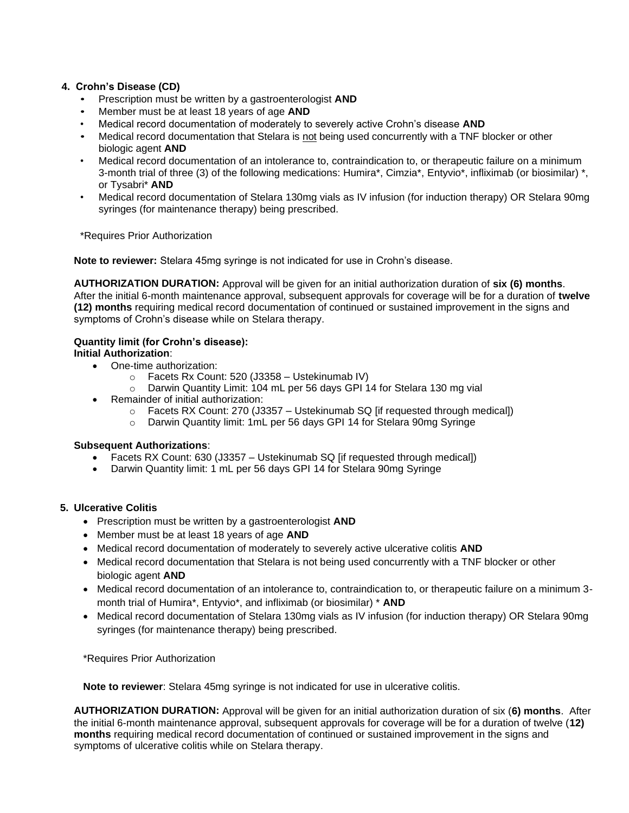## **4. Crohn's Disease (CD)**

- Prescription must be written by a gastroenterologist **AND**
- Member must be at least 18 years of age **AND**
- Medical record documentation of moderately to severely active Crohn's disease **AND**
- Medical record documentation that Stelara is not being used concurrently with a TNF blocker or other biologic agent **AND**
- Medical record documentation of an intolerance to, contraindication to, or therapeutic failure on a minimum 3-month trial of three (3) of the following medications: Humira\*, Cimzia\*, Entyvio\*, infliximab (or biosimilar) \*, or Tysabri\* **AND**
- Medical record documentation of Stelara 130mg vials as IV infusion (for induction therapy) OR Stelara 90mg syringes (for maintenance therapy) being prescribed.

\*Requires Prior Authorization

**Note to reviewer:** Stelara 45mg syringe is not indicated for use in Crohn's disease.

**AUTHORIZATION DURATION:** Approval will be given for an initial authorization duration of **six (6) months**. After the initial 6-month maintenance approval, subsequent approvals for coverage will be for a duration of **twelve (12) months** requiring medical record documentation of continued or sustained improvement in the signs and symptoms of Crohn's disease while on Stelara therapy.

# **Quantity limit (for Crohn's disease):**

# **Initial Authorization**:

- One-time authorization:
	- $\circ$  Facets Rx Count: 520 (J3358 Ustekinumab IV)
	- o Darwin Quantity Limit: 104 mL per 56 days GPI 14 for Stelara 130 mg vial
- Remainder of initial authorization:
	- $\circ$  Facets RX Count: 270 (J3357 Ustekinumab SQ [if requested through medical])
	- o Darwin Quantity limit: 1mL per 56 days GPI 14 for Stelara 90mg Syringe

## **Subsequent Authorizations**:

- Facets RX Count: 630 (J3357 Ustekinumab SQ [if requested through medical])
- Darwin Quantity limit: 1 mL per 56 days GPI 14 for Stelara 90mg Syringe

#### **5. Ulcerative Colitis**

- Prescription must be written by a gastroenterologist **AND**
- Member must be at least 18 years of age **AND**
- Medical record documentation of moderately to severely active ulcerative colitis **AND**
- Medical record documentation that Stelara is not being used concurrently with a TNF blocker or other biologic agent **AND**
- Medical record documentation of an intolerance to, contraindication to, or therapeutic failure on a minimum 3 month trial of Humira\*, Entyvio\*, and infliximab (or biosimilar) \* **AND**
- Medical record documentation of Stelara 130mg vials as IV infusion (for induction therapy) OR Stelara 90mg syringes (for maintenance therapy) being prescribed.

\*Requires Prior Authorization

**Note to reviewer**: Stelara 45mg syringe is not indicated for use in ulcerative colitis.

**AUTHORIZATION DURATION:** Approval will be given for an initial authorization duration of six (**6) months**. After the initial 6-month maintenance approval, subsequent approvals for coverage will be for a duration of twelve (**12) months** requiring medical record documentation of continued or sustained improvement in the signs and symptoms of ulcerative colitis while on Stelara therapy.